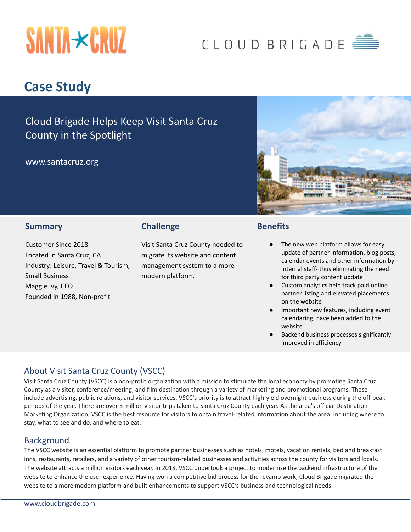

# CLOUD BRIGADE

# **Case Study**

Cloud Brigade Helps Keep Visit Santa Cruz County in the Spotlight

www.santacruz.org



#### **Summary**

Customer Since 2018 Located in Santa Cruz, CA Industry: Leisure, Travel & Tourism, Small Business Maggie Ivy, CEO Founded in 1988, Non-profit

### **Challenge**

Visit Santa Cruz County needed to migrate its website and content management system to a more modern platform.

#### **Benefits**

- The new web platform allows for easy update of partner information, blog posts, calendar events and other information by internal staff- thus eliminating the need for third party content update
- Custom analytics help track paid online partner listing and elevated placements on the website
- Important new features, including event calendaring, have been added to the website
- Backend business processes significantly improved in efficiency

# About Visit Santa Cruz County (VSCC)

Visit Santa Cruz County (VSCC) is a non-profit organization with a mission to stimulate the local economy by promoting Santa Cruz County as a visitor, conference/meeting, and film destination through a variety of marketing and promotional programs. These include advertising, public relations, and visitor services. VSCC's priority is to attract high-yield overnight business during the off-peak periods of the year. There are over 3 million visitor trips taken to Santa Cruz County each year. As the area's official Destination Marketing Organization, VSCC is the best resource for visitors to obtain travel-related information about the area. Including where to stay, what to see and do, and where to eat.

#### Background

The VSCC website is an essential platform to promote partner businesses such as hotels, motels, vacation rentals, bed and breakfast inns, restaurants, retailers, and a variety of other tourism-related businesses and activities across the county for visitors and locals. The website attracts a million visitors each year. In 2018, VSCC undertook a project to modernize the backend infrastructure of the website to enhance the user experience. Having won a competitive bid process for the revamp work, Cloud Brigade migrated the website to a more modern platform and built enhancements to support VSCC's business and technological needs.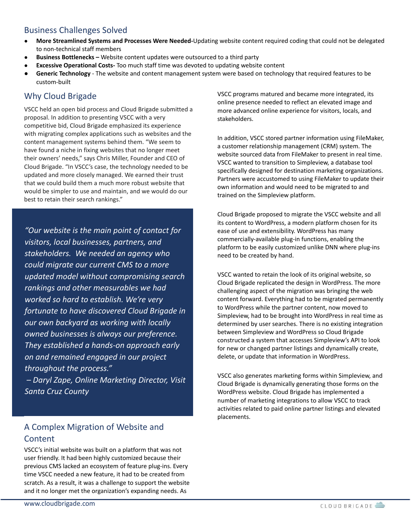# Business Challenges Solved

- **More Streamlined Systems and Processes Were Needed-**Updating website content required coding that could not be delegated to non-technical staff members
- **Business Bottlenecks –** Website content updates were outsourced to a third party
- **Excessive Operational Costs-** Too much staff time was devoted to updating website content
- **● Generic Technology** The website and content management system were based on technology that required features to be custom-built

# Why Cloud Brigade

VSCC held an open bid process and Cloud Brigade submitted a proposal. In addition to presenting VSCC with a very competitive bid, Cloud Brigade emphasized its experience with migrating complex applications such as websites and the content management systems behind them. "We seem to have found a niche in fixing websites that no longer meet their owners' needs," says Chris Miller, Founder and CEO of Cloud Brigade. "In VSCC's case, the technology needed to be updated and more closely managed. We earned their trust that we could build them a much more robust website that would be simpler to use and maintain, and we would do our best to retain their search rankings."

*"Our website is the main point of contact for visitors, local businesses, partners, and stakeholders. We needed an agency who could migrate our current CMS to a more updated model without compromising search rankings and other measurables we had worked so hard to establish. We're very fortunate to have discovered Cloud Brigade in our own backyard as working with locally owned businesses is always our preference. They established a hands-on approach early on and remained engaged in our project throughout the process."*

*– Daryl Zape, Online Marketing Director, Visit Santa Cruz County*

# A Complex Migration of Website and **Content**

VSCC's initial website was built on a platform that was not user friendly. It had been highly customized because their previous CMS lacked an ecosystem of feature plug-ins. Every time VSCC needed a new feature, it had to be created from scratch. As a result, it was a challenge to support the website and it no longer met the organization's expanding needs. As

VSCC programs matured and became more integrated, its online presence needed to reflect an elevated image and more advanced online experience for visitors, locals, and stakeholders.

In addition, VSCC stored partner information using FileMaker, a customer relationship management (CRM) system. The website sourced data from FileMaker to present in real time. VSCC wanted to transition to Simpleview, a database tool specifically designed for destination marketing organizations. Partners were accustomed to using FileMaker to update their own information and would need to be migrated to and trained on the Simpleview platform.

Cloud Brigade proposed to migrate the VSCC website and all its content to WordPress, a modern platform chosen for its ease of use and extensibility. WordPress has many commercially-available plug-in functions, enabling the platform to be easily customized unlike DNN where plug-ins need to be created by hand.

VSCC wanted to retain the look of its original website, so Cloud Brigade replicated the design in WordPress. The more challenging aspect of the migration was bringing the web content forward. Everything had to be migrated permanently to WordPress while the partner content, now moved to Simpleview, had to be brought into WordPress in real time as determined by user searches. There is no existing integration between Simpleview and WordPress so Cloud Brigade constructed a system that accesses Simpleview's API to look for new or changed partner listings and dynamically create, delete, or update that information in WordPress.

VSCC also generates marketing forms within Simpleview, and Cloud Brigade is dynamically generating those forms on the WordPress website. Cloud Brigade has implemented a number of marketing integrations to allow VSCC to track activities related to paid online partner listings and elevated placements.